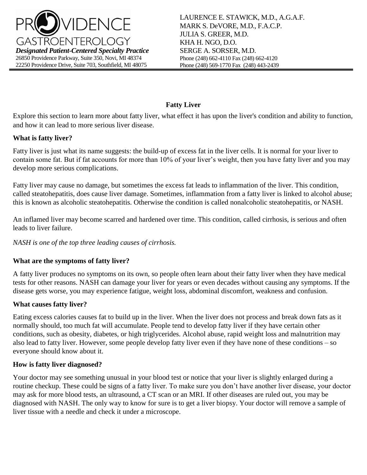

# **Fatty Liver**

Explore this section to learn more about fatty liver, what effect it has upon the liver's condition and ability to function, and how it can lead to more serious liver disease.

# **What is fatty liver?**

Fatty [liver](http://www.liverfoundation.org/glossary/) is just what its name suggests: the build-up of excess fat in the liver cells. It is normal for your liver to contain some fat. But if fat accounts for more than 10% of your liver's weight, then you have [fatty liver](http://www.liverfoundation.org/glossary/) and you may develop more serious complications.

Fatty liver may cause no damage, but sometimes the excess fat leads to inflammation of the liver. This condition, called steatohepatitis, does cause liver damage. Sometimes, inflammation from a fatty liver is linked to alcohol abuse; this is known as alcoholic steatohepatitis. Otherwise the condition is called nonalcoholic steatohepatitis, or NASH.

An inflamed liver may become scarred and hardened over time. This condition, called [cirrhosis,](http://www.liverfoundation.org/education/info/cirrhosis) is serious and often leads to liver failure.

*NASH is one of the top three leading causes of cirrhosis.*

# **What are the symptoms of fatty liver?**

A fatty liver produces no symptoms on its own, so people often learn about their fatty liver when they have medical tests for other reasons. NASH can damage your liver for years or even decades without causing any symptoms. If the disease gets worse, you may experience fatigue, weight loss, abdominal discomfort, weakness and confusion.

# **What causes fatty liver?**

Eating excess calories causes fat to build up in the liver. When the liver does not process and break down fats as it normally should, too much fat will accumulate. People tend to develop fatty liver if they have certain other conditions, such as obesity, diabetes, or high triglycerides. Alcohol abuse, rapid weight loss and malnutrition may also lead to fatty liver. However, some people develop fatty liver even if they have none of these conditions – so everyone should know about it.

# **How is fatty liver diagnosed?**

Your doctor may see something unusual in your blood test or notice that your liver is slightly enlarged during a routine checkup. These could be signs of a fatty liver. To make sure you don't have another liver disease, your doctor may ask for more blood tests, an ultrasound, a CT scan or an MRI. If other diseases are ruled out, you may be diagnosed with NASH. The only way to know for sure is to get a liver biopsy. Your doctor will remove a sample of liver tissue with a needle and check it under a microscope.